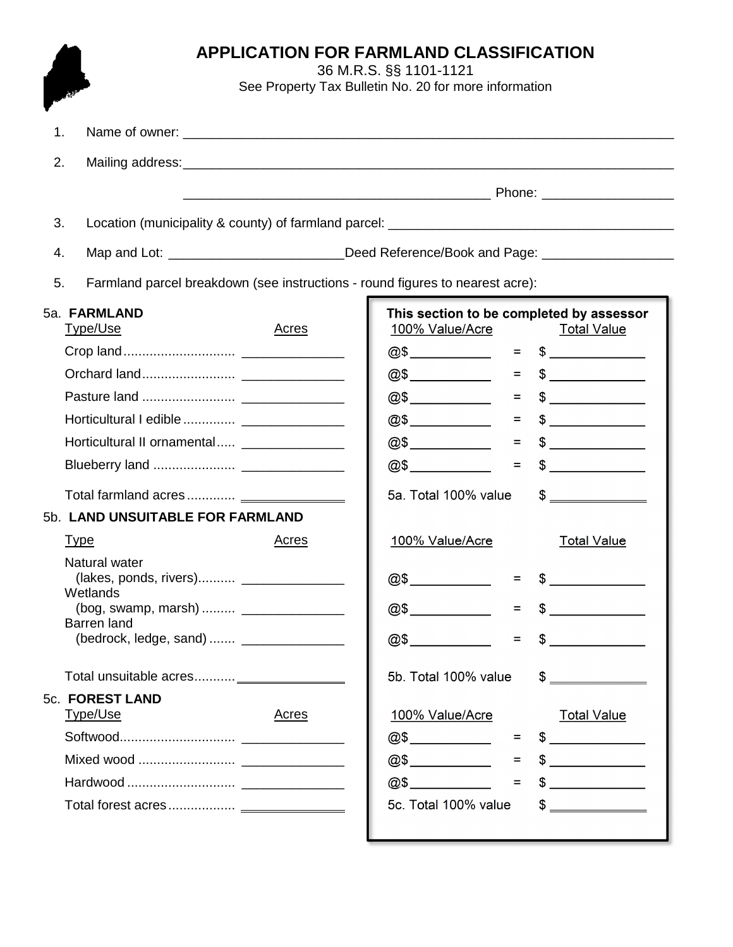|                                                                                     | <b>APPLICATION FOR FARMLAND CLASSIFICATION</b><br>36 M.R.S. §§ 1101-1121<br>See Property Tax Bulletin No. 20 for more information                                                                                                                                                                                                                                                                                                      |  |  |
|-------------------------------------------------------------------------------------|----------------------------------------------------------------------------------------------------------------------------------------------------------------------------------------------------------------------------------------------------------------------------------------------------------------------------------------------------------------------------------------------------------------------------------------|--|--|
| 1.                                                                                  |                                                                                                                                                                                                                                                                                                                                                                                                                                        |  |  |
| 2.                                                                                  |                                                                                                                                                                                                                                                                                                                                                                                                                                        |  |  |
|                                                                                     |                                                                                                                                                                                                                                                                                                                                                                                                                                        |  |  |
| 3.                                                                                  |                                                                                                                                                                                                                                                                                                                                                                                                                                        |  |  |
| 4.                                                                                  | Map and Lot: __________________________Deed Reference/Book and Page: __________________                                                                                                                                                                                                                                                                                                                                                |  |  |
| Farmland parcel breakdown (see instructions - round figures to nearest acre):<br>5. |                                                                                                                                                                                                                                                                                                                                                                                                                                        |  |  |
| 5a. FARMLAND                                                                        | This section to be completed by assessor                                                                                                                                                                                                                                                                                                                                                                                               |  |  |
| <b>Type/Use</b><br>Acres                                                            | 100% Value/Acre<br><u>Total Value</u>                                                                                                                                                                                                                                                                                                                                                                                                  |  |  |
|                                                                                     | $@5$ = $=$<br>$\frac{1}{2}$                                                                                                                                                                                                                                                                                                                                                                                                            |  |  |
|                                                                                     | $\frac{1}{2}$<br>$=$                                                                                                                                                                                                                                                                                                                                                                                                                   |  |  |
|                                                                                     | $\frac{1}{\sqrt{1-\frac{1}{2}}}\frac{1}{\sqrt{1-\frac{1}{2}}}\frac{1}{\sqrt{1-\frac{1}{2}}}\frac{1}{\sqrt{1-\frac{1}{2}}}\frac{1}{\sqrt{1-\frac{1}{2}}}\frac{1}{\sqrt{1-\frac{1}{2}}}\frac{1}{\sqrt{1-\frac{1}{2}}}\frac{1}{\sqrt{1-\frac{1}{2}}}\frac{1}{\sqrt{1-\frac{1}{2}}}\frac{1}{\sqrt{1-\frac{1}{2}}}\frac{1}{\sqrt{1-\frac{1}{2}}}\frac{1}{\sqrt{1-\frac{1}{2}}}\frac{1}{\sqrt{1-\frac{1}{2}}}\frac{1}{\sqrt{1-\frac{$<br>$=$ |  |  |
|                                                                                     | $=$ $\,$<br>$\frac{1}{2}$                                                                                                                                                                                                                                                                                                                                                                                                              |  |  |
| Horticultural II ornamental _________________                                       | $\frac{1}{2}$<br>$=$                                                                                                                                                                                                                                                                                                                                                                                                                   |  |  |
|                                                                                     | @5<br>$\frac{1}{\sqrt{2}}$<br>$\equiv$                                                                                                                                                                                                                                                                                                                                                                                                 |  |  |
|                                                                                     | 5a. Total 100% value<br>$\begin{picture}(20,20) \put(0,0){\line(1,0){100}} \put(15,0){\line(1,0){100}} \put(15,0){\line(1,0){100}} \put(15,0){\line(1,0){100}} \put(15,0){\line(1,0){100}} \put(15,0){\line(1,0){100}} \put(15,0){\line(1,0){100}} \put(15,0){\line(1,0){100}} \put(15,0){\line(1,0){100}} \put(15,0){\line(1,0){100}} \put(15,0){\line(1,0){100}} \$                                                                  |  |  |
| 5b. LAND UNSUITABLE FOR FARMLAND                                                    |                                                                                                                                                                                                                                                                                                                                                                                                                                        |  |  |
| <b>Type</b><br>Acres                                                                | 100% Value/Acre<br><b>Total Value</b>                                                                                                                                                                                                                                                                                                                                                                                                  |  |  |
| Natural water<br>(lakes, ponds, rivers) ______________________                      | @\$<br>$=$                                                                                                                                                                                                                                                                                                                                                                                                                             |  |  |
| Wetlands                                                                            |                                                                                                                                                                                                                                                                                                                                                                                                                                        |  |  |
| <b>Barren</b> land                                                                  | @\$<br>$=$                                                                                                                                                                                                                                                                                                                                                                                                                             |  |  |
|                                                                                     | @\$<br>$=$                                                                                                                                                                                                                                                                                                                                                                                                                             |  |  |
|                                                                                     | 5b. Total 100% value<br>\$                                                                                                                                                                                                                                                                                                                                                                                                             |  |  |
| 5c. FOREST LAND                                                                     |                                                                                                                                                                                                                                                                                                                                                                                                                                        |  |  |
| Type/Use<br><b>Acres</b>                                                            | 100% Value/Acre<br><b>Total Value</b>                                                                                                                                                                                                                                                                                                                                                                                                  |  |  |
|                                                                                     | $\frac{1}{2}$<br>=                                                                                                                                                                                                                                                                                                                                                                                                                     |  |  |
|                                                                                     | @5<br>$\sim$<br>$=$                                                                                                                                                                                                                                                                                                                                                                                                                    |  |  |
|                                                                                     | @5<br>$\frac{1}{2}$<br>$=$                                                                                                                                                                                                                                                                                                                                                                                                             |  |  |
|                                                                                     | 5c. Total 100% value<br>\$                                                                                                                                                                                                                                                                                                                                                                                                             |  |  |
|                                                                                     |                                                                                                                                                                                                                                                                                                                                                                                                                                        |  |  |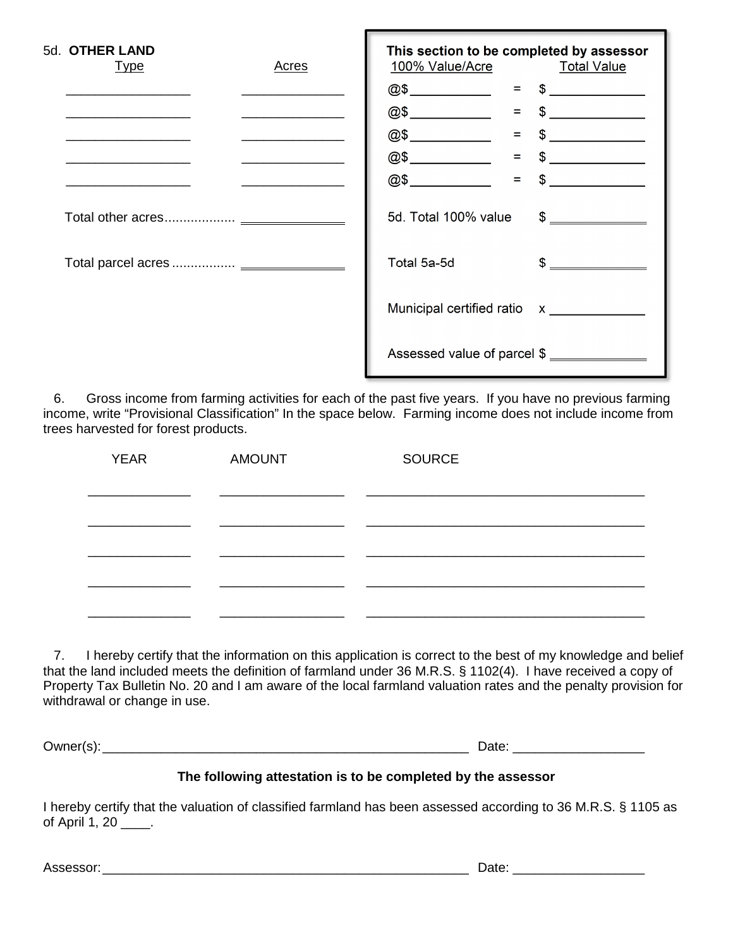| 5d. OTHER LAND<br><u>Type</u> | <b>Acres</b> | This section to be completed by assessor<br>100% Value/Acre Total Value |               |
|-------------------------------|--------------|-------------------------------------------------------------------------|---------------|
|                               |              | $@$$ $@$$ $=$ $$$ $$$                                                   |               |
|                               |              | @5                                                                      | $=$ \$        |
|                               |              | @5<br>$=$                                                               | $\frac{1}{2}$ |
|                               |              | @5<br>$=$ $-$                                                           | $\frac{1}{2}$ |
|                               |              | @5<br>$=$                                                               | $\frac{1}{2}$ |
|                               |              | 5d. Total 100% value                                                    | $\frac{1}{2}$ |
|                               |              | Total 5a-5d                                                             | $\frac{1}{2}$ |
|                               |              |                                                                         |               |
|                               |              | Assessed value of parcel \$                                             |               |

 6. Gross income from farming activities for each of the past five years. If you have no previous farming income, write "Provisional Classification" In the space below. Farming income does not include income from trees harvested for forest products.

| <b>YEAR</b> | <b>AMOUNT</b> | <b>SOURCE</b> |
|-------------|---------------|---------------|
|             |               |               |
|             |               |               |
|             |               |               |
|             |               |               |
|             |               |               |
|             |               |               |
|             |               |               |

 7. I hereby certify that the information on this application is correct to the best of my knowledge and belief that the land included meets the definition of farmland under 36 M.R.S. § 1102(4). I have received a copy of Property Tax Bulletin No. 20 and I am aware of the local farmland valuation rates and the penalty provision for withdrawal or change in use.

Owner(s): \_\_\_\_\_\_\_\_\_\_\_\_\_\_\_\_\_\_\_\_\_\_\_\_\_\_\_\_\_\_\_\_\_\_\_\_\_\_\_\_\_\_\_\_\_\_\_\_\_\_ Date: \_\_\_\_\_\_\_\_\_\_\_\_\_\_\_\_\_\_

## **The following attestation is to be completed by the assessor**

I hereby certify that the valuation of classified farmland has been assessed according to 36 M.R.S. § 1105 as of April 1, 20 \_\_\_\_.

Assessor: \_\_\_\_\_\_\_\_\_\_\_\_\_\_\_\_\_\_\_\_\_\_\_\_\_\_\_\_\_\_\_\_\_\_\_\_\_\_\_\_\_\_\_\_\_\_\_\_\_\_ Date: \_\_\_\_\_\_\_\_\_\_\_\_\_\_\_\_\_\_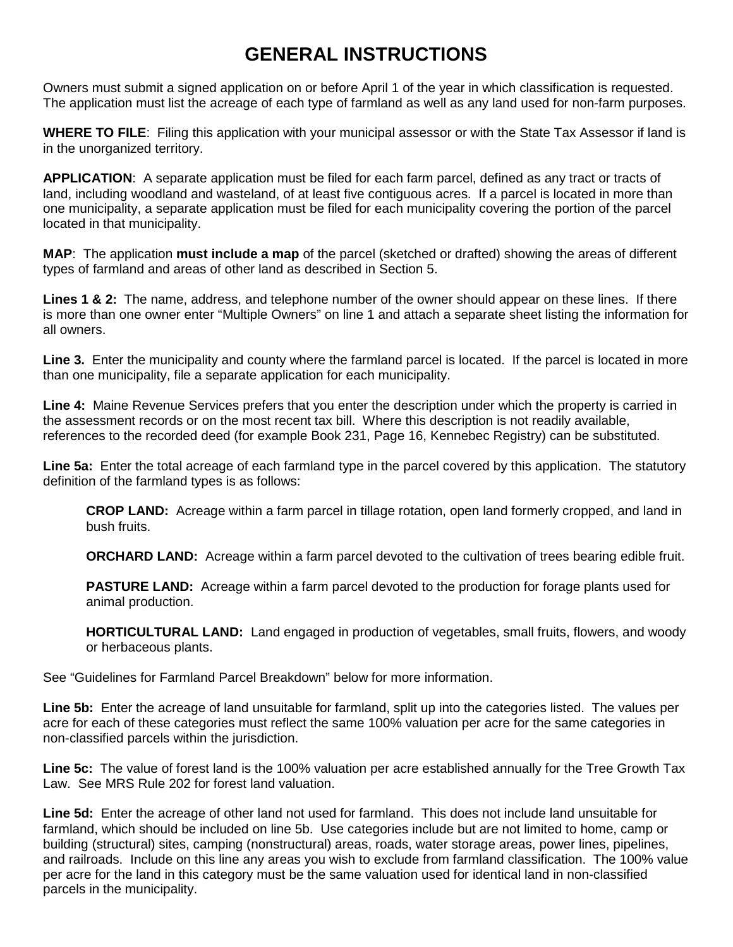## **GENERAL INSTRUCTIONS**

Owners must submit a signed application on or before April 1 of the year in which classification is requested. The application must list the acreage of each type of farmland as well as any land used for non-farm purposes.

**WHERE TO FILE**: Filing this application with your municipal assessor or with the State Tax Assessor if land is in the unorganized territory.

**APPLICATION**: A separate application must be filed for each farm parcel, defined as any tract or tracts of land, including woodland and wasteland, of at least five contiguous acres. If a parcel is located in more than one municipality, a separate application must be filed for each municipality covering the portion of the parcel located in that municipality.

**MAP**: The application **must include a map** of the parcel (sketched or drafted) showing the areas of different types of farmland and areas of other land as described in Section 5.

**Lines 1 & 2:** The name, address, and telephone number of the owner should appear on these lines. If there is more than one owner enter "Multiple Owners" on line 1 and attach a separate sheet listing the information for all owners.

**Line 3.** Enter the municipality and county where the farmland parcel is located. If the parcel is located in more than one municipality, file a separate application for each municipality.

**Line 4:** Maine Revenue Services prefers that you enter the description under which the property is carried in the assessment records or on the most recent tax bill. Where this description is not readily available, references to the recorded deed (for example Book 231, Page 16, Kennebec Registry) can be substituted.

**Line 5a:** Enter the total acreage of each farmland type in the parcel covered by this application. The statutory definition of the farmland types is as follows:

**CROP LAND:** Acreage within a farm parcel in tillage rotation, open land formerly cropped, and land in bush fruits.

**ORCHARD LAND:** Acreage within a farm parcel devoted to the cultivation of trees bearing edible fruit.

**PASTURE LAND:** Acreage within a farm parcel devoted to the production for forage plants used for animal production.

**HORTICULTURAL LAND:** Land engaged in production of vegetables, small fruits, flowers, and woody or herbaceous plants.

See "Guidelines for Farmland Parcel Breakdown" below for more information.

**Line 5b:** Enter the acreage of land unsuitable for farmland, split up into the categories listed. The values per acre for each of these categories must reflect the same 100% valuation per acre for the same categories in non-classified parcels within the jurisdiction.

**Line 5c:** The value of forest land is the 100% valuation per acre established annually for the Tree Growth Tax Law. See MRS Rule 202 for forest land valuation.

**Line 5d:** Enter the acreage of other land not used for farmland. This does not include land unsuitable for farmland, which should be included on line 5b. Use categories include but are not limited to home, camp or building (structural) sites, camping (nonstructural) areas, roads, water storage areas, power lines, pipelines, and railroads. Include on this line any areas you wish to exclude from farmland classification. The 100% value per acre for the land in this category must be the same valuation used for identical land in non-classified parcels in the municipality.